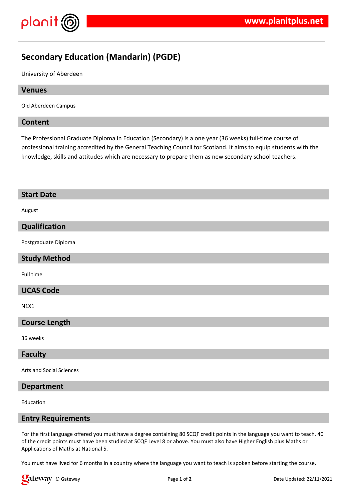



# **Secondary Education (Mandarin) (PGDE)**

University of Aberdeen

# **Venues**

Old Aberdeen Campus

# **Content**

The Professional Graduate Diploma in Education (Secondary) is a one year (36 weeks) full-time course of professional training accredited by the General Teaching Council for Scotland. It aims to equip students with the knowledge, skills and attitudes which are necessary to prepare them as new secondary school teachers.

# **Start Date**

August

# **Qualification**

Postgraduate Diploma

## **Study Method**

Full time

# **UCAS Code**

N1X1

## **Course Length**

36 weeks

## **Faculty**

Arts and Social Sciences

# **Department**

Education

## **Entry Requirements**

For the first language offered you must have a degree containing 80 SCQF credit points in the language you want to teach. 40 of the credit points must have been studied at SCQF Level 8 or above. You must also have Higher English plus Maths or Applications of Maths at National 5.

You must have lived for 6 months in a country where the language you want to teach is spoken before starting the course,